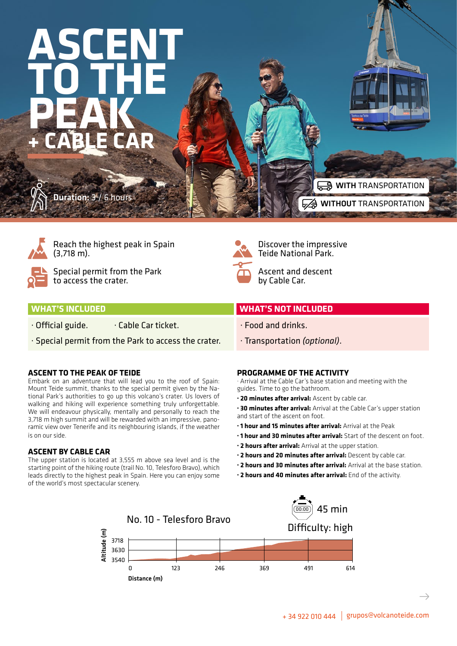# **ASCENT TO THE PEAK + CABLE CAR** Duration: 3 / 6 hours WITH TRANSPORTATION



Reach the highest peak in Spain (3,718 m).



Special permit from the Park to access the crater.



Discover the impressive Teide National Park.

WITHOUT TRANSPORTATION

Ascent and descent by Cable Car.

#### **WHAT'S INCLUDED WHAT'S NOT INCLUDED**  $\cdot$  Official guide.  $\cdot$  Cable Car ticket. · Special permit from the Park to access the crater. · Food and drinks. · Transportation *(optional)*.

## **ASCENT TO THE PEAK OF TEIDE**

Embark on an adventure that will lead you to the roof of Spain: Mount Teide summit, thanks to the special permit given by the National Park's authorities to go up this volcano's crater. Us lovers of walking and hiking will experience something truly unforgettable. We will endeavour physically, mentally and personally to reach the 3,718 m high summit and will be rewarded with an impressive, panoramic view over Tenerife and its neighbouring islands, if the weather is on our side.

# **ASCENT BY CABLE CAR**

The upper station is located at 3,555 m above sea level and is the starting point of the hiking route (trail No. 10, Telesforo Bravo), which leads directly to the highest peak in Spain. Here you can enjoy some of the world's most spectacular scenery.

## **PROGRAMME OF THE ACTIVITY**

· Arrival at the Cable Car's base station and meeting with the guides. Time to go the bathroom.

**· 20 minutes after arrival:** Ascent by cable car.

**· 30 minutes after arrival:** Arrival at the Cable Car's upper station and start of the ascent on foot.

- **· 1 hour and 15 minutes after arrival:** Arrival at the Peak
- **· 1 hour and 30 minutes after arrival:** Start of the descent on foot.
- **· 2 hours after arrival:** Arrival at the upper station.
- **· 2 hours and 20 minutes after arrival:** Descent by cable car.
- **· 2 hours and 30 minutes after arrival:** Arrival at the base station.
- **· 2 hours and 40 minutes after arrival:** End of the activity.